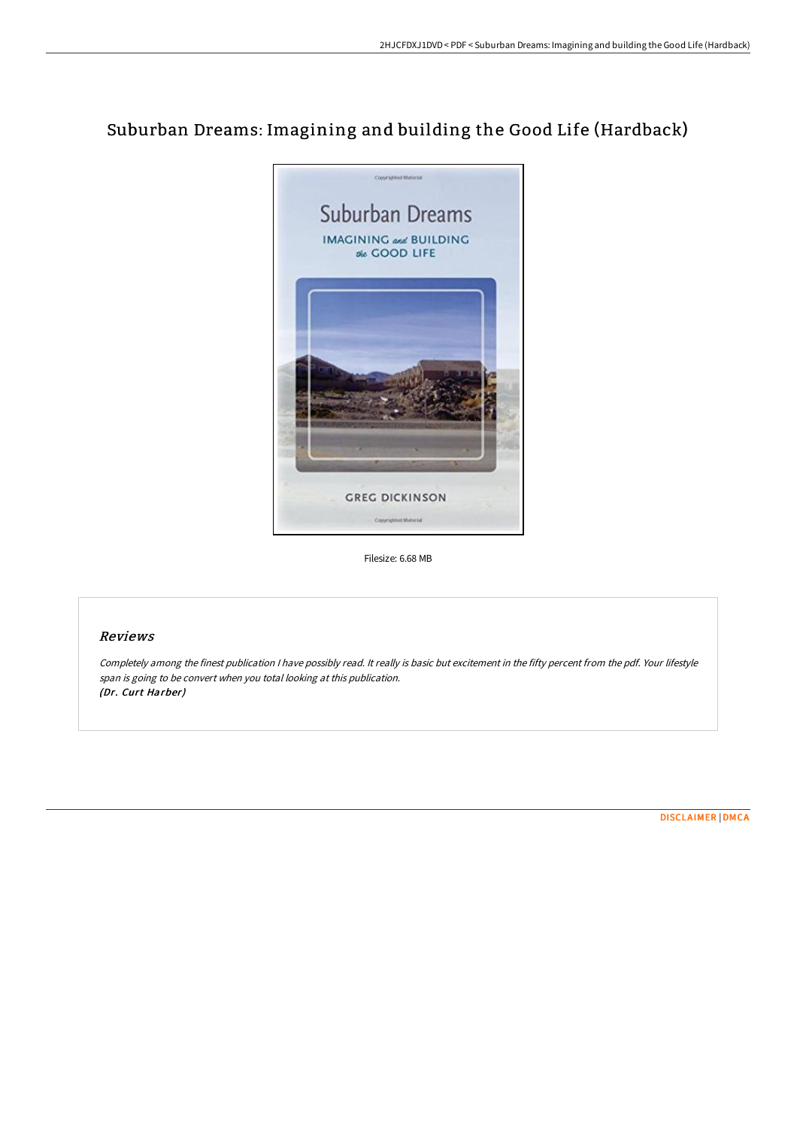# Suburban Dreams: Imagining and building the Good Life (Hardback)



Filesize: 6.68 MB

## Reviews

Completely among the finest publication <sup>I</sup> have possibly read. It really is basic but excitement in the fifty percent from the pdf. Your lifestyle span is going to be convert when you total looking at this publication. (Dr. Curt Harber)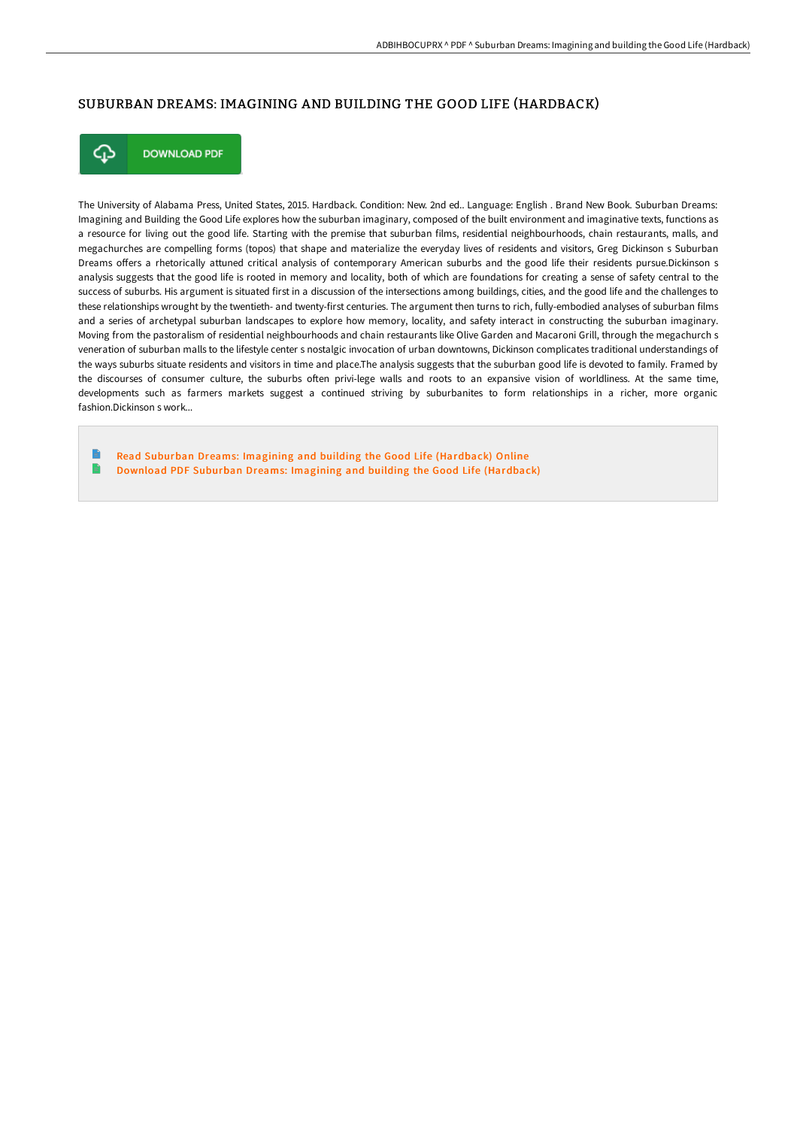## SUBURBAN DREAMS: IMAGINING AND BUILDING THE GOOD LIFE (HARDBACK)



**DOWNLOAD PDF** 

The University of Alabama Press, United States, 2015. Hardback. Condition: New. 2nd ed.. Language: English . Brand New Book. Suburban Dreams: Imagining and Building the Good Life explores how the suburban imaginary, composed of the built environment and imaginative texts, functions as a resource for living out the good life. Starting with the premise that suburban films, residential neighbourhoods, chain restaurants, malls, and megachurches are compelling forms (topos) that shape and materialize the everyday lives of residents and visitors, Greg Dickinson s Suburban Dreams offers a rhetorically attuned critical analysis of contemporary American suburbs and the good life their residents pursue.Dickinson s analysis suggests that the good life is rooted in memory and locality, both of which are foundations for creating a sense of safety central to the success of suburbs. His argument is situated first in a discussion of the intersections among buildings, cities, and the good life and the challenges to these relationships wrought by the twentieth- and twenty-first centuries. The argument then turns to rich, fully-embodied analyses of suburban films and a series of archetypal suburban landscapes to explore how memory, locality, and safety interact in constructing the suburban imaginary. Moving from the pastoralism of residential neighbourhoods and chain restaurants like Olive Garden and Macaroni Grill, through the megachurch s veneration of suburban malls to the lifestyle center s nostalgic invocation of urban downtowns, Dickinson complicates traditional understandings of the ways suburbs situate residents and visitors in time and place.The analysis suggests that the suburban good life is devoted to family. Framed by the discourses of consumer culture, the suburbs often privi-lege walls and roots to an expansive vision of worldliness. At the same time, developments such as farmers markets suggest a continued striving by suburbanites to form relationships in a richer, more organic fashion.Dickinson s work.

B Read Suburban Dreams: Imagining and building the Good Life [\(Hardback\)](http://bookera.tech/suburban-dreams-imagining-and-building-the-good-.html) Online B Download PDF Suburban Dreams: Imagining and building the Good Life [\(Hardback\)](http://bookera.tech/suburban-dreams-imagining-and-building-the-good-.html)